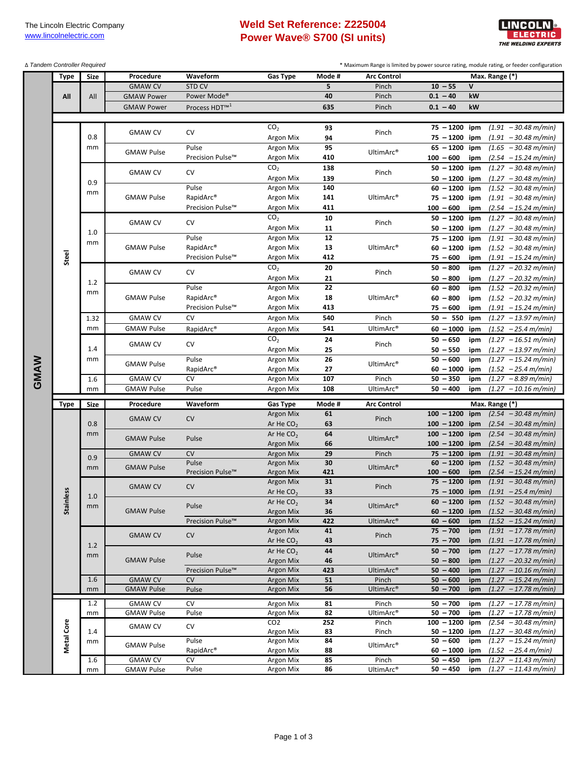## **Weld Set Reference: Z225004 Power Wave® S700 (SI units)**



Δ *Tandem Controller Required*

\* Maximum Range is limited by power source rating, module rating, or feeder configuration

|      | Type        | Size        | Procedure                           | Waveform                  | Gas Type               | Mode #     | <b>Arc Control</b>    | Max. Range (*)                                                                             |  |
|------|-------------|-------------|-------------------------------------|---------------------------|------------------------|------------|-----------------------|--------------------------------------------------------------------------------------------|--|
|      | All         | All         | <b>GMAW CV</b>                      | STD CV                    |                        | 5          | Pinch                 | $10 - 55$<br>V                                                                             |  |
|      |             |             |                                     | Power Mode <sup>®</sup>   |                        | 40         | Pinch                 | $0.1 - 40$<br>kW                                                                           |  |
|      |             |             | <b>GMAW Power</b>                   |                           |                        |            |                       |                                                                                            |  |
|      |             |             | <b>GMAW Power</b>                   | Process HDT <sup>™1</sup> |                        | 635        | Pinch                 | $0.1 - 40$<br>kW                                                                           |  |
|      |             |             |                                     |                           |                        |            |                       |                                                                                            |  |
|      |             |             | <b>GMAW CV</b>                      | CV                        | CO <sub>2</sub>        | 93         | Pinch                 | $75 - 1200$ ipm<br>$(1.91 - 30.48 \text{ m/min})$                                          |  |
|      |             | 0.8         |                                     |                           | Argon Mix              | 94         |                       | $75 - 1200$<br>$(1.91 - 30.48 \text{ m/min})$<br>ipm                                       |  |
|      |             | mm          | <b>GMAW Pulse</b>                   | Pulse                     | Argon Mix              | 95         | UltimArc <sup>®</sup> | $65 - 1200$<br>ipm<br>$(1.65 - 30.48 \text{ m/min})$                                       |  |
|      |             |             |                                     | Precision Pulse™          | Argon Mix              | 410        |                       | $100 - 600$<br>$(2.54 - 15.24 m/min)$<br>ipm                                               |  |
|      |             |             | <b>GMAW CV</b>                      | CV                        | CO <sub>2</sub>        | 138        | Pinch                 | $50 - 1200$<br>ipm<br>$(1.27 - 30.48 \text{ m/min})$                                       |  |
|      |             | 0.9         |                                     |                           | Argon Mix              | 139        |                       | $50 - 1200$<br>$(1.27 - 30.48 \text{ m/min})$<br>ipm                                       |  |
|      |             |             |                                     | Pulse                     | Argon Mix              | 140        |                       | $60 - 1200$<br>$(1.52 - 30.48 \text{ m/min})$<br>ipm                                       |  |
|      |             | mm          | <b>GMAW Pulse</b>                   | RapidArc®                 | Argon Mix              | 141        | UltimArc <sup>®</sup> | $75 - 1200$<br>ipm<br>$(1.91 - 30.48 \text{ m/min})$                                       |  |
|      |             |             |                                     | Precision Pulse™          | Argon Mix              | 411        |                       | $100 - 600$<br>ipm<br>$(2.54 - 15.24 m/min)$                                               |  |
|      |             |             |                                     |                           | CO <sub>2</sub>        | 10         |                       | $50 - 1200$<br>ipm<br>$(1.27 - 30.48 \text{ m/min})$                                       |  |
|      |             |             | <b>GMAW CV</b>                      | CV                        | Argon Mix              | 11         | Pinch                 | $50 - 1200$ ipm<br>$(1.27 - 30.48 \text{ m/min})$                                          |  |
|      |             | 1.0         |                                     | Pulse                     | Argon Mix              | 12         |                       | $75 - 1200$<br>ipm<br>$(1.91 - 30.48 \text{ m/min})$                                       |  |
|      |             | mm          | <b>GMAW Pulse</b>                   | RapidArc®                 | Argon Mix              | 13         | UltimArc <sup>®</sup> | $60 - 1200$<br>ipm<br>$(1.52 - 30.48 \text{ m/min})$                                       |  |
|      | Steel       |             |                                     | Precision Pulse™          | Argon Mix              | 412        |                       | $75 - 600$<br>$(1.91 - 15.24 \text{ m/min})$<br>ipm                                        |  |
|      |             |             |                                     |                           | CO <sub>2</sub>        | 20         |                       | $50 - 800$<br>$(1.27 - 20.32 m/min)$<br>ipm                                                |  |
|      |             |             | <b>GMAW CV</b>                      | CV                        | Argon Mix              | 21         | Pinch                 | $(1.27 - 20.32 m/min)$<br>$50 - 800$<br>ipm                                                |  |
|      |             | 1.2         |                                     | Pulse                     | Argon Mix              | 22         |                       | $60 - 800$<br>$(1.52 - 20.32 m/min)$<br>ipm                                                |  |
|      |             | mm          | <b>GMAW Pulse</b>                   | RapidArc®                 | Argon Mix              | 18         | UltimArc <sup>®</sup> | $60 - 800$<br>$(1.52 - 20.32 \text{ m/min})$<br>ipm                                        |  |
|      |             |             |                                     | Precision Pulse™          | Argon Mix              | 413        |                       | $75 - 600$<br>$(1.91 - 15.24 \text{ m/min})$<br>ipm                                        |  |
|      |             | 1.32        | <b>GMAW CV</b>                      | <b>CV</b>                 |                        | 540        | Pinch                 | $50 - 550$                                                                                 |  |
|      |             |             |                                     |                           | Argon Mix              |            |                       | ipm<br>$(1.27 - 13.97 m/min)$                                                              |  |
|      |             | mm          | <b>GMAW Pulse</b>                   | RapidArc®                 | Argon Mix              | 541        | UltimArc <sup>®</sup> | $60 - 1000$<br>ipm<br>$(1.52 - 25.4 m/min)$                                                |  |
|      |             | 1.4<br>mm   | <b>GMAW CV</b>                      | CV                        | CO <sub>2</sub>        | 24         | Pinch                 | $50 - 650$<br>$(1.27 - 16.51 m/min)$<br>ipm                                                |  |
|      |             |             |                                     |                           | Argon Mix              | 25         |                       | $50 - 550$<br>$(1.27 - 13.97 m/min)$<br>ipm                                                |  |
|      |             |             | <b>GMAW Pulse</b>                   | Pulse                     | Argon Mix              | ${\bf 26}$ | UltimArc <sup>®</sup> | $50 - 600$<br>ipm<br>$(1.27 - 15.24 m/min)$                                                |  |
|      |             |             |                                     | RapidArc <sup>®</sup>     | Argon Mix              | 27         |                       | $60 - 1000$<br>$(1.52 - 25.4 m/min)$<br>ipm                                                |  |
|      |             |             |                                     |                           |                        |            |                       |                                                                                            |  |
|      |             | 1.6         | <b>GMAW CV</b>                      | CV                        | Argon Mix              | 107        | Pinch                 | $50 - 350$<br>$(1.27 - 8.89 \text{ m/min})$<br>ipm                                         |  |
| GMAW |             | mm          | <b>GMAW Pulse</b>                   | Pulse                     | Argon Mix              | 108        | UltimArc <sup>®</sup> | $50 - 400$<br>$(1.27 - 10.16 \text{ m/min})$<br>ipm                                        |  |
|      |             |             |                                     |                           |                        |            |                       |                                                                                            |  |
|      | <b>Type</b> | <b>Size</b> | Procedure                           | Waveform                  | <b>Gas Type</b>        | Mode #     | <b>Arc Control</b>    | Max. Range (*)                                                                             |  |
|      |             |             | <b>GMAW CV</b>                      | CV                        | Argon Mix              | 61         | Pinch                 | $100 - 1200$<br>$(2.54 - 30.48 \text{ m/min})$<br>ipm                                      |  |
|      |             | 0.8         |                                     |                           | Ar He $CO2$            | 63         |                       | $100 - 1200$<br>$(2.54 - 30.48 \text{ m/min})$<br>ipm                                      |  |
|      |             | mm          | <b>GMAW Pulse</b>                   | Pulse                     | Ar He $CO2$            | 64         | UltimArc <sup>®</sup> | $100 - 1200$<br>ipm<br>$(2.54 - 30.48 \text{ m/min})$                                      |  |
|      |             |             |                                     |                           | <b>Argon Mix</b>       | 66         |                       | $100 - 1200$<br>$(2.54 - 30.48 \text{ m/min})$<br>ipm                                      |  |
|      |             | 0.9         | <b>GMAW CV</b>                      | CV                        | <b>Argon Mix</b>       | 29         | Pinch                 | $75 - 1200$<br>$(1.91 - 30.48 \text{ m/min})$<br>ipm                                       |  |
|      |             | mm          | <b>GMAW Pulse</b>                   | Pulse                     | Argon Mix              | 30         | UltimArc®             | $60 - 1200$<br>ipm<br>$(1.52 - 30.48 \text{ m/min})$                                       |  |
|      |             |             |                                     | Precision Pulse™          | Argon Mix              | 421        |                       | $100 - 600$<br>$(2.54 - 15.24 m/min)$<br>ipm                                               |  |
|      |             |             | <b>GMAW CV</b>                      | CV                        | <b>Argon Mix</b>       | 31         | Pinch                 | $75 - 1200$<br>$(1.91 - 30.48 \text{ m/min})$<br>ipm                                       |  |
|      | less        | 1.0         |                                     |                           | Ar He $CO2$            | 33         |                       | $75 - 1000$ ipm<br>$(1.91 - 25.4 \, \text{m/min})$                                         |  |
|      |             | mm          |                                     | Pulse                     | Ar He $CO2$            | 34         | UltimArc <sup>®</sup> | $60 - 1200$ ipm<br>$(1.52 - 30.48 \text{ m/min})$                                          |  |
|      | Stainl      |             | <b>GMAW Pulse</b>                   |                           | Argon Mix              | 36         |                       | $60 - 1200$ ipm<br>$(1.52 - 30.48 \text{ m/min})$                                          |  |
|      |             |             |                                     | Precision Pulse™          | Argon Mix              | 422        | UltimArc®             | $60 - 600$<br>$(1.52 - 15.24 m/min)$<br>ipm                                                |  |
|      |             |             | <b>GMAW CV</b>                      | CV                        | <b>Argon Mix</b>       | 41         | Pinch                 | $75 - 700$<br>$(1.91 - 17.78 \text{ m/min})$<br>ipm                                        |  |
|      |             | 1.2         |                                     |                           | Ar He $CO2$            | 43         |                       | $75 - 700$<br>$(1.91 - 17.78 \text{ m/min})$<br>ipm                                        |  |
|      |             | mm          |                                     | Pulse                     | Ar He $CO2$            | 44         | UltimArc <sup>®</sup> | $50 - 700$<br>$(1.27 - 17.78 \text{ m/min})$<br>ipm                                        |  |
|      |             |             | <b>GMAW Pulse</b>                   |                           | Argon Mix              | 46         |                       | $50 - 800$<br>$(1.27 - 20.32 m/min)$<br>ipm                                                |  |
|      |             |             |                                     | Precision Pulse™          | Argon Mix              | 423        | UltimArc <sup>®</sup> | $(1.27 - 10.16 m/min)$<br>$50 - 400$<br>ipm                                                |  |
|      |             | 1.6         | <b>GMAW CV</b>                      | <b>CV</b>                 | Argon Mix              | 51         | Pinch                 | $50 - 600$<br>$(1.27 - 15.24 m/min)$<br>ipm                                                |  |
|      |             | mm          | <b>GMAW Pulse</b>                   | Pulse                     | Argon Mix              | 56         | UltimArc <sup>®</sup> | $50 - 700$<br>$(1.27 - 17.78 m/min)$<br>ipm                                                |  |
|      |             | 1.2         | <b>GMAW CV</b>                      | CV                        | Argon Mix              | 81         | Pinch                 | $50 - 700$<br>$(1.27 - 17.78 m/min)$<br>ipm                                                |  |
|      |             | mm          | <b>GMAW Pulse</b>                   | Pulse                     | Argon Mix              | 82         | UltimArc®             | $50 - 700$<br>$(1.27 - 17.78 m/min)$<br>ipm                                                |  |
|      |             |             | <b>GMAW CV</b>                      | CV                        | CO <sub>2</sub>        | 252        | Pinch                 | ipm<br>$100 - 1200$<br>$(2.54 - 30.48 \text{ m/min})$                                      |  |
|      |             | 1.4         |                                     |                           | Argon Mix              | 83         | Pinch                 | $50 - 1200$<br>$(1.27 - 30.48 \text{ m/min})$<br>ipm                                       |  |
|      |             | mm          |                                     | Pulse                     | Argon Mix              | 84         |                       | $50 - 600$<br>$(1.27 - 15.24 m/min)$<br>ipm                                                |  |
|      | Metal Core  |             | <b>GMAW Pulse</b>                   | RapidArc®                 | Argon Mix              | 88         | UltimArc <sup>®</sup> | $60 - 1000$<br>$(1.52 - 25.4 m/min)$<br>ipm                                                |  |
|      |             | 1.6<br>mm   | <b>GMAW CV</b><br><b>GMAW Pulse</b> | CV<br>Pulse               | Argon Mix<br>Argon Mix | 85<br>86   | Pinch<br>UltimArc®    | $50 - 450$<br>$(1.27 - 11.43 m/min)$<br>ipm<br>$50 - 450$<br>$(1.27 - 11.43 m/min)$<br>ipm |  |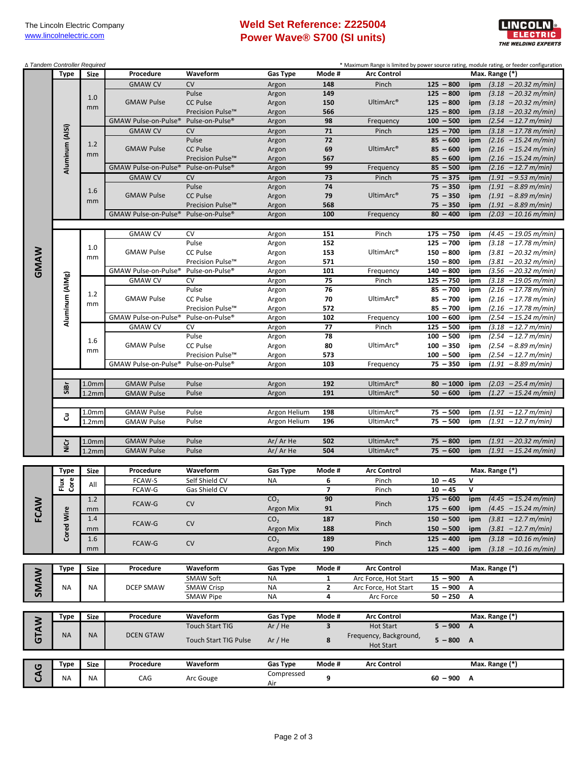## **Weld Set Reference: Z225004 Power Wave® S700 (SI units)**



| Procedure<br>Waveform<br>Gas Type<br>Mode #<br><b>Arc Control</b><br>Max. Range (*)<br>Size<br>$125 - 800$<br><b>GMAW CV</b><br>CV<br>148<br>Pinch<br>Argon<br>ipm<br>$125 - 800$<br>Pulse<br>149<br>ipm<br>Argon<br>1.0<br><b>CC Pulse</b><br>UltimArc®<br>$125 - 800$<br><b>GMAW Pulse</b><br>Argon<br>150<br>ipm<br>mm<br>$125 - 800$<br>Precision Pulse™<br>566<br>Argon<br>ipm<br>98<br>$100 - 500$<br>GMAW Pulse-on-Pulse®<br>Pulse-on-Pulse <sup>®</sup><br>Argon<br>Frequency<br>ipm<br>Aluminum (AlSi)<br><b>CV</b><br>$71$<br>$125 - 700$<br>$(3.18 - 17.78 m/min)$<br><b>GMAW CV</b><br>Argon<br>Pinch<br>ipm<br>$85 - 600$<br>Pulse<br>72<br>ipm<br>Argon<br>1.2<br><b>GMAW Pulse</b><br><b>CC Pulse</b><br>69<br>UltimArc <sup>®</sup><br>$85 - 600$<br>Argon<br>ipm<br>mm<br>Precision Pulse™<br>567<br>$85 - 600$<br>Argon<br>ipm<br>Pulse-on-Pulse®<br>99<br>$85 - 500$<br>GMAW Pulse-on-Pulse®<br>Argon<br>Frequency<br>ipm<br><b>CV</b><br>73<br>$75 - 375$<br><b>GMAW CV</b><br>Argon<br>Pinch<br>ipm<br>74<br>$75 - 350$<br>Pulse<br>Argon<br>ipm<br>1.6<br><b>GMAW Pulse</b><br><b>CC Pulse</b><br>79<br>UltimArc <sup>®</sup><br>$75 - 350$<br>Argon<br>ipm<br>mm<br>$75 - 350$<br>Precision Pulse™<br>Argon<br>568<br>ipm<br>GMAW Pulse-on-Pulse®<br>Pulse-on-Pulse <sup>®</sup><br>100<br>$80 - 400$<br>ipm<br>Argon<br>Frequency<br><b>GMAW CV</b><br><b>CV</b><br>151<br>Pinch<br>$175 - 750$<br>Argon<br>ipm<br>$125 - 700$<br>Pulse<br>152<br>ipm<br>Argon<br>1.0<br>GMAW<br><b>GMAW Pulse</b><br><b>CC Pulse</b><br>153<br>UltimArc <sup>®</sup><br>$150 - 800$<br>Argon<br>ipm<br>mm<br>571<br>$150 - 800$<br>Precision Pulse™<br>Argon<br>ipm<br>GMAW Pulse-on-Pulse®<br>101<br>$140 - 800$<br>Pulse-on-Pulse <sup>®</sup><br>Argon<br>Frequency<br>ipm<br>Aluminum (AIMg)<br>CV<br>$125 - 750$<br>75<br><b>GMAW CV</b><br>Argon<br>Pinch<br>ipm<br>76<br>$85 - 700$<br>Pulse<br>ipm<br>Argon<br>1.2<br><b>GMAW Pulse</b><br><b>CC Pulse</b><br>70<br>UltimArc <sup>®</sup><br>$85 - 700$<br>Argon<br>ipm<br>mm<br>572<br>Precision Pulse™<br>$85 - 700$<br>Argon<br>ipm<br>102<br>Pulse-on-Pulse <sup>®</sup><br>$100 - 600$<br>GMAW Pulse-on-Pulse®<br>Argon<br>Frequency<br>ipm<br><b>CV</b><br>77<br>$125 - 500$<br><b>GMAW CV</b><br>Argon<br>Pinch<br>ipm<br>Pulse<br>78<br>$100 - 500$<br>Argon<br>ipm<br>1.6<br><b>GMAW Pulse</b><br><b>CC Pulse</b><br>UltimArc <sup>®</sup><br>$100 - 350$<br>Argon<br>80<br>ipm<br>mm<br>$100 - 500$<br>Precision Pulse™<br>573<br>Argon<br>ipm<br>Pulse-on-Pulse <sup>®</sup><br>103<br>$75 - 350$<br>GMAW Pulse-on-Pulse <sup>®</sup><br>ipm<br>Argon<br>Frequency<br><b>GMAW Pulse</b><br>Pulse<br>192<br>UltimArc®<br>$80 - 1000$<br>ipm<br>1.0 <sub>mm</sub><br>Argon<br>SiBr<br>191<br>UltimArc®<br>$50 - 600$<br>Pulse<br>ipm<br>Argon<br>1.2 <sub>mm</sub><br><b>GMAW Pulse</b><br><b>GMAW Pulse</b><br>Pulse<br>Argon Helium<br>198<br>UltimArc <sup>®</sup><br>$75 - 500$<br>1.0 <sub>mm</sub><br>ipm<br>3<br>UltimArc®<br>$75 - 500$<br>Pulse<br>196<br>$(1.91 - 12.7 m/min)$<br>Argon Helium<br>ipm<br>1.2 <sub>mm</sub><br><b>GMAW Pulse</b><br>$75 - 800$<br><b>GMAW Pulse</b><br>Pulse<br>Ar/Ar He<br>502<br>UltimArc®<br>ipm<br>1.0 <sub>mm</sub><br>ig<br><b>GMAW Pulse</b><br>Pulse<br>Ar/Ar He<br>504<br>UltimArc®<br>$75 - 600$<br>1.2 <sub>mm</sub><br>ipm<br>Mode #<br>Max. Range (*)<br>Procedure<br>Waveform<br><b>Gas Type</b><br><b>Arc Control</b><br>Type<br>Size<br>FCAW-S<br>Self Shield CV<br>6<br>$10 - 45$<br>V<br>es.<br>ΝA<br>Pinch<br>Ě<br>All<br>FCAW-G<br>$\overline{\phantom{a}}$<br>V<br>Gas Shield CV<br>Pinch<br>$10 - 45$<br>ш.<br>ັ<br>CO <sub>2</sub><br>90<br>$175 - 600$<br>1.2<br>ipm<br>FCAW<br>FCAW-G<br>CV<br>Pinch<br>Argon Mix<br>$175 - 600$<br>91<br>ipm<br><b>Cored Wire</b><br>mm<br>$150 - 500$<br>1.4<br>CO <sub>2</sub><br>187<br>ipm<br><b>CV</b><br>FCAW-G<br>Pinch<br>$150 - 500$<br><b>Argon Mix</b><br>188<br>ipm<br>mm<br>$125 - 400$<br>1.6<br>CO <sub>2</sub><br>189<br>ipm<br><b>CV</b><br>FCAW-G<br>Pinch<br><b>Argon Mix</b><br>190<br>$125 - 400$<br>mm<br>ipm<br>Waveform<br>Max. Range (*)<br>Procedure<br><b>Gas Type</b><br>Mode #<br><b>Arc Control</b><br>Type<br>Size<br><b>SMAW</b><br><b>SMAW Soft</b><br>Arc Force, Hot Start<br>$15 - 900$<br>NA<br>1<br>Α<br>NA<br><b>DCEP SMAW</b><br>$\mathbf{2}$<br>ΝA<br><b>SMAW Crisp</b><br>ΝA<br>Arc Force, Hot Start<br>$15 - 900$<br>Α<br>4<br><b>SMAW Pipe</b><br>$50 - 250$<br>Α<br>NA<br>Arc Force<br>Procedure<br>Waveform<br>Gas Type<br>Mode #<br><b>Arc Control</b><br>Type<br>Max. Range (*)<br>Size<br>GTAW<br>$\overline{\mathbf{3}}$<br>$5 - 900$ A<br><b>Touch Start TIG</b><br>Ar / He<br><b>Hot Start</b><br><b>NA</b><br><b>NA</b><br><b>DCEN GTAW</b><br>Frequency, Background,<br>8<br>$5 - 800$ A<br><b>Touch Start TIG Pulse</b><br>Ar/He<br><b>Hot Start</b><br>Procedure<br>Waveform<br>Gas Type<br>Mode #<br>Size<br><b>Arc Control</b><br>Max. Range (*)<br>Type<br>CAG<br>Compressed<br>9<br>$60 - 900$ A<br>NA<br>NA<br>CAG<br>Arc Gouge | ∆ Tandem Controller Required |             |  |     |  | * Maximum Range is limited by power source rating, module rating, or feeder configuration |
|--------------------------------------------------------------------------------------------------------------------------------------------------------------------------------------------------------------------------------------------------------------------------------------------------------------------------------------------------------------------------------------------------------------------------------------------------------------------------------------------------------------------------------------------------------------------------------------------------------------------------------------------------------------------------------------------------------------------------------------------------------------------------------------------------------------------------------------------------------------------------------------------------------------------------------------------------------------------------------------------------------------------------------------------------------------------------------------------------------------------------------------------------------------------------------------------------------------------------------------------------------------------------------------------------------------------------------------------------------------------------------------------------------------------------------------------------------------------------------------------------------------------------------------------------------------------------------------------------------------------------------------------------------------------------------------------------------------------------------------------------------------------------------------------------------------------------------------------------------------------------------------------------------------------------------------------------------------------------------------------------------------------------------------------------------------------------------------------------------------------------------------------------------------------------------------------------------------------------------------------------------------------------------------------------------------------------------------------------------------------------------------------------------------------------------------------------------------------------------------------------------------------------------------------------------------------------------------------------------------------------------------------------------------------------------------------------------------------------------------------------------------------------------------------------------------------------------------------------------------------------------------------------------------------------------------------------------------------------------------------------------------------------------------------------------------------------------------------------------------------------------------------------------------------------------------------------------------------------------------------------------------------------------------------------------------------------------------------------------------------------------------------------------------------------------------------------------------------------------------------------------------------------------------------------------------------------------------------------------------------------------------------------------------------------------------------------------------------------------------------------------------------------------------------------------------------------------------------------------------------------------------------------------------------------------------------------------------------------------------------------------------------------------------------------------------------------------------------------------------------------------------------------------------------------------------------------------------------------------------------------------------------------------------------------------------------------------------------------------------------------------------------------------------------------------------------------------------------------------------------------------------------------------------------------------------------------------------------------------------------------------------------------------------------------------------------------------------------------------------------------------------------------------------------------------------------------------------------------------------------------------------------------------------------------------------------------------------------------------------------------------------------------------------------------------------------------|------------------------------|-------------|--|-----|--|-------------------------------------------------------------------------------------------|
|                                                                                                                                                                                                                                                                                                                                                                                                                                                                                                                                                                                                                                                                                                                                                                                                                                                                                                                                                                                                                                                                                                                                                                                                                                                                                                                                                                                                                                                                                                                                                                                                                                                                                                                                                                                                                                                                                                                                                                                                                                                                                                                                                                                                                                                                                                                                                                                                                                                                                                                                                                                                                                                                                                                                                                                                                                                                                                                                                                                                                                                                                                                                                                                                                                                                                                                                                                                                                                                                                                                                                                                                                                                                                                                                                                                                                                                                                                                                                                                                                                                                                                                                                                                                                                                                                                                                                                                                                                                                                                                                                                                                                                                                                                                                                                                                                                                                                                                                                                                                                                                                          |                              | <b>Type</b> |  |     |  |                                                                                           |
|                                                                                                                                                                                                                                                                                                                                                                                                                                                                                                                                                                                                                                                                                                                                                                                                                                                                                                                                                                                                                                                                                                                                                                                                                                                                                                                                                                                                                                                                                                                                                                                                                                                                                                                                                                                                                                                                                                                                                                                                                                                                                                                                                                                                                                                                                                                                                                                                                                                                                                                                                                                                                                                                                                                                                                                                                                                                                                                                                                                                                                                                                                                                                                                                                                                                                                                                                                                                                                                                                                                                                                                                                                                                                                                                                                                                                                                                                                                                                                                                                                                                                                                                                                                                                                                                                                                                                                                                                                                                                                                                                                                                                                                                                                                                                                                                                                                                                                                                                                                                                                                                          |                              |             |  |     |  | $(3.18 - 20.32 \text{ m/min})$                                                            |
|                                                                                                                                                                                                                                                                                                                                                                                                                                                                                                                                                                                                                                                                                                                                                                                                                                                                                                                                                                                                                                                                                                                                                                                                                                                                                                                                                                                                                                                                                                                                                                                                                                                                                                                                                                                                                                                                                                                                                                                                                                                                                                                                                                                                                                                                                                                                                                                                                                                                                                                                                                                                                                                                                                                                                                                                                                                                                                                                                                                                                                                                                                                                                                                                                                                                                                                                                                                                                                                                                                                                                                                                                                                                                                                                                                                                                                                                                                                                                                                                                                                                                                                                                                                                                                                                                                                                                                                                                                                                                                                                                                                                                                                                                                                                                                                                                                                                                                                                                                                                                                                                          |                              |             |  |     |  | $(3.18 - 20.32 \text{ m/min})$                                                            |
|                                                                                                                                                                                                                                                                                                                                                                                                                                                                                                                                                                                                                                                                                                                                                                                                                                                                                                                                                                                                                                                                                                                                                                                                                                                                                                                                                                                                                                                                                                                                                                                                                                                                                                                                                                                                                                                                                                                                                                                                                                                                                                                                                                                                                                                                                                                                                                                                                                                                                                                                                                                                                                                                                                                                                                                                                                                                                                                                                                                                                                                                                                                                                                                                                                                                                                                                                                                                                                                                                                                                                                                                                                                                                                                                                                                                                                                                                                                                                                                                                                                                                                                                                                                                                                                                                                                                                                                                                                                                                                                                                                                                                                                                                                                                                                                                                                                                                                                                                                                                                                                                          |                              |             |  |     |  | $(3.18 - 20.32 \text{ m/min})$                                                            |
|                                                                                                                                                                                                                                                                                                                                                                                                                                                                                                                                                                                                                                                                                                                                                                                                                                                                                                                                                                                                                                                                                                                                                                                                                                                                                                                                                                                                                                                                                                                                                                                                                                                                                                                                                                                                                                                                                                                                                                                                                                                                                                                                                                                                                                                                                                                                                                                                                                                                                                                                                                                                                                                                                                                                                                                                                                                                                                                                                                                                                                                                                                                                                                                                                                                                                                                                                                                                                                                                                                                                                                                                                                                                                                                                                                                                                                                                                                                                                                                                                                                                                                                                                                                                                                                                                                                                                                                                                                                                                                                                                                                                                                                                                                                                                                                                                                                                                                                                                                                                                                                                          |                              |             |  |     |  | $(3.18 - 20.32 \text{ m/min})$                                                            |
|                                                                                                                                                                                                                                                                                                                                                                                                                                                                                                                                                                                                                                                                                                                                                                                                                                                                                                                                                                                                                                                                                                                                                                                                                                                                                                                                                                                                                                                                                                                                                                                                                                                                                                                                                                                                                                                                                                                                                                                                                                                                                                                                                                                                                                                                                                                                                                                                                                                                                                                                                                                                                                                                                                                                                                                                                                                                                                                                                                                                                                                                                                                                                                                                                                                                                                                                                                                                                                                                                                                                                                                                                                                                                                                                                                                                                                                                                                                                                                                                                                                                                                                                                                                                                                                                                                                                                                                                                                                                                                                                                                                                                                                                                                                                                                                                                                                                                                                                                                                                                                                                          |                              |             |  |     |  | $(2.54 - 12.7 m/min)$                                                                     |
|                                                                                                                                                                                                                                                                                                                                                                                                                                                                                                                                                                                                                                                                                                                                                                                                                                                                                                                                                                                                                                                                                                                                                                                                                                                                                                                                                                                                                                                                                                                                                                                                                                                                                                                                                                                                                                                                                                                                                                                                                                                                                                                                                                                                                                                                                                                                                                                                                                                                                                                                                                                                                                                                                                                                                                                                                                                                                                                                                                                                                                                                                                                                                                                                                                                                                                                                                                                                                                                                                                                                                                                                                                                                                                                                                                                                                                                                                                                                                                                                                                                                                                                                                                                                                                                                                                                                                                                                                                                                                                                                                                                                                                                                                                                                                                                                                                                                                                                                                                                                                                                                          |                              |             |  |     |  | $(2.16 - 15.24 m/min)$                                                                    |
|                                                                                                                                                                                                                                                                                                                                                                                                                                                                                                                                                                                                                                                                                                                                                                                                                                                                                                                                                                                                                                                                                                                                                                                                                                                                                                                                                                                                                                                                                                                                                                                                                                                                                                                                                                                                                                                                                                                                                                                                                                                                                                                                                                                                                                                                                                                                                                                                                                                                                                                                                                                                                                                                                                                                                                                                                                                                                                                                                                                                                                                                                                                                                                                                                                                                                                                                                                                                                                                                                                                                                                                                                                                                                                                                                                                                                                                                                                                                                                                                                                                                                                                                                                                                                                                                                                                                                                                                                                                                                                                                                                                                                                                                                                                                                                                                                                                                                                                                                                                                                                                                          |                              |             |  |     |  | $(2.16 - 15.24 m/min)$                                                                    |
|                                                                                                                                                                                                                                                                                                                                                                                                                                                                                                                                                                                                                                                                                                                                                                                                                                                                                                                                                                                                                                                                                                                                                                                                                                                                                                                                                                                                                                                                                                                                                                                                                                                                                                                                                                                                                                                                                                                                                                                                                                                                                                                                                                                                                                                                                                                                                                                                                                                                                                                                                                                                                                                                                                                                                                                                                                                                                                                                                                                                                                                                                                                                                                                                                                                                                                                                                                                                                                                                                                                                                                                                                                                                                                                                                                                                                                                                                                                                                                                                                                                                                                                                                                                                                                                                                                                                                                                                                                                                                                                                                                                                                                                                                                                                                                                                                                                                                                                                                                                                                                                                          |                              |             |  |     |  | $(2.16 - 15.24 m/min)$                                                                    |
|                                                                                                                                                                                                                                                                                                                                                                                                                                                                                                                                                                                                                                                                                                                                                                                                                                                                                                                                                                                                                                                                                                                                                                                                                                                                                                                                                                                                                                                                                                                                                                                                                                                                                                                                                                                                                                                                                                                                                                                                                                                                                                                                                                                                                                                                                                                                                                                                                                                                                                                                                                                                                                                                                                                                                                                                                                                                                                                                                                                                                                                                                                                                                                                                                                                                                                                                                                                                                                                                                                                                                                                                                                                                                                                                                                                                                                                                                                                                                                                                                                                                                                                                                                                                                                                                                                                                                                                                                                                                                                                                                                                                                                                                                                                                                                                                                                                                                                                                                                                                                                                                          |                              |             |  |     |  | $(2.16 - 12.7 m/min)$                                                                     |
|                                                                                                                                                                                                                                                                                                                                                                                                                                                                                                                                                                                                                                                                                                                                                                                                                                                                                                                                                                                                                                                                                                                                                                                                                                                                                                                                                                                                                                                                                                                                                                                                                                                                                                                                                                                                                                                                                                                                                                                                                                                                                                                                                                                                                                                                                                                                                                                                                                                                                                                                                                                                                                                                                                                                                                                                                                                                                                                                                                                                                                                                                                                                                                                                                                                                                                                                                                                                                                                                                                                                                                                                                                                                                                                                                                                                                                                                                                                                                                                                                                                                                                                                                                                                                                                                                                                                                                                                                                                                                                                                                                                                                                                                                                                                                                                                                                                                                                                                                                                                                                                                          |                              |             |  |     |  | $(1.91 - 9.53 \text{ m/min})$                                                             |
|                                                                                                                                                                                                                                                                                                                                                                                                                                                                                                                                                                                                                                                                                                                                                                                                                                                                                                                                                                                                                                                                                                                                                                                                                                                                                                                                                                                                                                                                                                                                                                                                                                                                                                                                                                                                                                                                                                                                                                                                                                                                                                                                                                                                                                                                                                                                                                                                                                                                                                                                                                                                                                                                                                                                                                                                                                                                                                                                                                                                                                                                                                                                                                                                                                                                                                                                                                                                                                                                                                                                                                                                                                                                                                                                                                                                                                                                                                                                                                                                                                                                                                                                                                                                                                                                                                                                                                                                                                                                                                                                                                                                                                                                                                                                                                                                                                                                                                                                                                                                                                                                          |                              |             |  |     |  | $(1.91 - 8.89 \text{ m/min})$                                                             |
|                                                                                                                                                                                                                                                                                                                                                                                                                                                                                                                                                                                                                                                                                                                                                                                                                                                                                                                                                                                                                                                                                                                                                                                                                                                                                                                                                                                                                                                                                                                                                                                                                                                                                                                                                                                                                                                                                                                                                                                                                                                                                                                                                                                                                                                                                                                                                                                                                                                                                                                                                                                                                                                                                                                                                                                                                                                                                                                                                                                                                                                                                                                                                                                                                                                                                                                                                                                                                                                                                                                                                                                                                                                                                                                                                                                                                                                                                                                                                                                                                                                                                                                                                                                                                                                                                                                                                                                                                                                                                                                                                                                                                                                                                                                                                                                                                                                                                                                                                                                                                                                                          |                              |             |  |     |  | $(1.91 - 8.89 \text{ m/min})$                                                             |
|                                                                                                                                                                                                                                                                                                                                                                                                                                                                                                                                                                                                                                                                                                                                                                                                                                                                                                                                                                                                                                                                                                                                                                                                                                                                                                                                                                                                                                                                                                                                                                                                                                                                                                                                                                                                                                                                                                                                                                                                                                                                                                                                                                                                                                                                                                                                                                                                                                                                                                                                                                                                                                                                                                                                                                                                                                                                                                                                                                                                                                                                                                                                                                                                                                                                                                                                                                                                                                                                                                                                                                                                                                                                                                                                                                                                                                                                                                                                                                                                                                                                                                                                                                                                                                                                                                                                                                                                                                                                                                                                                                                                                                                                                                                                                                                                                                                                                                                                                                                                                                                                          |                              |             |  |     |  | $(1.91 - 8.89 m/min)$                                                                     |
|                                                                                                                                                                                                                                                                                                                                                                                                                                                                                                                                                                                                                                                                                                                                                                                                                                                                                                                                                                                                                                                                                                                                                                                                                                                                                                                                                                                                                                                                                                                                                                                                                                                                                                                                                                                                                                                                                                                                                                                                                                                                                                                                                                                                                                                                                                                                                                                                                                                                                                                                                                                                                                                                                                                                                                                                                                                                                                                                                                                                                                                                                                                                                                                                                                                                                                                                                                                                                                                                                                                                                                                                                                                                                                                                                                                                                                                                                                                                                                                                                                                                                                                                                                                                                                                                                                                                                                                                                                                                                                                                                                                                                                                                                                                                                                                                                                                                                                                                                                                                                                                                          |                              |             |  |     |  | $(2.03 - 10.16 \text{ m/min})$                                                            |
|                                                                                                                                                                                                                                                                                                                                                                                                                                                                                                                                                                                                                                                                                                                                                                                                                                                                                                                                                                                                                                                                                                                                                                                                                                                                                                                                                                                                                                                                                                                                                                                                                                                                                                                                                                                                                                                                                                                                                                                                                                                                                                                                                                                                                                                                                                                                                                                                                                                                                                                                                                                                                                                                                                                                                                                                                                                                                                                                                                                                                                                                                                                                                                                                                                                                                                                                                                                                                                                                                                                                                                                                                                                                                                                                                                                                                                                                                                                                                                                                                                                                                                                                                                                                                                                                                                                                                                                                                                                                                                                                                                                                                                                                                                                                                                                                                                                                                                                                                                                                                                                                          |                              |             |  |     |  |                                                                                           |
|                                                                                                                                                                                                                                                                                                                                                                                                                                                                                                                                                                                                                                                                                                                                                                                                                                                                                                                                                                                                                                                                                                                                                                                                                                                                                                                                                                                                                                                                                                                                                                                                                                                                                                                                                                                                                                                                                                                                                                                                                                                                                                                                                                                                                                                                                                                                                                                                                                                                                                                                                                                                                                                                                                                                                                                                                                                                                                                                                                                                                                                                                                                                                                                                                                                                                                                                                                                                                                                                                                                                                                                                                                                                                                                                                                                                                                                                                                                                                                                                                                                                                                                                                                                                                                                                                                                                                                                                                                                                                                                                                                                                                                                                                                                                                                                                                                                                                                                                                                                                                                                                          |                              |             |  |     |  | $(4.45 - 19.05 m/min)$                                                                    |
|                                                                                                                                                                                                                                                                                                                                                                                                                                                                                                                                                                                                                                                                                                                                                                                                                                                                                                                                                                                                                                                                                                                                                                                                                                                                                                                                                                                                                                                                                                                                                                                                                                                                                                                                                                                                                                                                                                                                                                                                                                                                                                                                                                                                                                                                                                                                                                                                                                                                                                                                                                                                                                                                                                                                                                                                                                                                                                                                                                                                                                                                                                                                                                                                                                                                                                                                                                                                                                                                                                                                                                                                                                                                                                                                                                                                                                                                                                                                                                                                                                                                                                                                                                                                                                                                                                                                                                                                                                                                                                                                                                                                                                                                                                                                                                                                                                                                                                                                                                                                                                                                          |                              |             |  |     |  | $(3.18 - 17.78 \text{ m/min})$                                                            |
|                                                                                                                                                                                                                                                                                                                                                                                                                                                                                                                                                                                                                                                                                                                                                                                                                                                                                                                                                                                                                                                                                                                                                                                                                                                                                                                                                                                                                                                                                                                                                                                                                                                                                                                                                                                                                                                                                                                                                                                                                                                                                                                                                                                                                                                                                                                                                                                                                                                                                                                                                                                                                                                                                                                                                                                                                                                                                                                                                                                                                                                                                                                                                                                                                                                                                                                                                                                                                                                                                                                                                                                                                                                                                                                                                                                                                                                                                                                                                                                                                                                                                                                                                                                                                                                                                                                                                                                                                                                                                                                                                                                                                                                                                                                                                                                                                                                                                                                                                                                                                                                                          |                              |             |  |     |  | $(3.81 - 20.32 \text{ m/min})$                                                            |
|                                                                                                                                                                                                                                                                                                                                                                                                                                                                                                                                                                                                                                                                                                                                                                                                                                                                                                                                                                                                                                                                                                                                                                                                                                                                                                                                                                                                                                                                                                                                                                                                                                                                                                                                                                                                                                                                                                                                                                                                                                                                                                                                                                                                                                                                                                                                                                                                                                                                                                                                                                                                                                                                                                                                                                                                                                                                                                                                                                                                                                                                                                                                                                                                                                                                                                                                                                                                                                                                                                                                                                                                                                                                                                                                                                                                                                                                                                                                                                                                                                                                                                                                                                                                                                                                                                                                                                                                                                                                                                                                                                                                                                                                                                                                                                                                                                                                                                                                                                                                                                                                          |                              |             |  |     |  | $(3.81 - 20.32 \text{ m/min})$                                                            |
|                                                                                                                                                                                                                                                                                                                                                                                                                                                                                                                                                                                                                                                                                                                                                                                                                                                                                                                                                                                                                                                                                                                                                                                                                                                                                                                                                                                                                                                                                                                                                                                                                                                                                                                                                                                                                                                                                                                                                                                                                                                                                                                                                                                                                                                                                                                                                                                                                                                                                                                                                                                                                                                                                                                                                                                                                                                                                                                                                                                                                                                                                                                                                                                                                                                                                                                                                                                                                                                                                                                                                                                                                                                                                                                                                                                                                                                                                                                                                                                                                                                                                                                                                                                                                                                                                                                                                                                                                                                                                                                                                                                                                                                                                                                                                                                                                                                                                                                                                                                                                                                                          |                              |             |  |     |  | $(3.56 - 20.32 m/min)$                                                                    |
|                                                                                                                                                                                                                                                                                                                                                                                                                                                                                                                                                                                                                                                                                                                                                                                                                                                                                                                                                                                                                                                                                                                                                                                                                                                                                                                                                                                                                                                                                                                                                                                                                                                                                                                                                                                                                                                                                                                                                                                                                                                                                                                                                                                                                                                                                                                                                                                                                                                                                                                                                                                                                                                                                                                                                                                                                                                                                                                                                                                                                                                                                                                                                                                                                                                                                                                                                                                                                                                                                                                                                                                                                                                                                                                                                                                                                                                                                                                                                                                                                                                                                                                                                                                                                                                                                                                                                                                                                                                                                                                                                                                                                                                                                                                                                                                                                                                                                                                                                                                                                                                                          |                              |             |  |     |  | $(3.18 - 19.05 \text{ m/min})$                                                            |
|                                                                                                                                                                                                                                                                                                                                                                                                                                                                                                                                                                                                                                                                                                                                                                                                                                                                                                                                                                                                                                                                                                                                                                                                                                                                                                                                                                                                                                                                                                                                                                                                                                                                                                                                                                                                                                                                                                                                                                                                                                                                                                                                                                                                                                                                                                                                                                                                                                                                                                                                                                                                                                                                                                                                                                                                                                                                                                                                                                                                                                                                                                                                                                                                                                                                                                                                                                                                                                                                                                                                                                                                                                                                                                                                                                                                                                                                                                                                                                                                                                                                                                                                                                                                                                                                                                                                                                                                                                                                                                                                                                                                                                                                                                                                                                                                                                                                                                                                                                                                                                                                          |                              |             |  |     |  | $(2.16 - 17.78 \text{ m/min})$<br>$(2.16 - 17.78 \text{ m/min})$                          |
|                                                                                                                                                                                                                                                                                                                                                                                                                                                                                                                                                                                                                                                                                                                                                                                                                                                                                                                                                                                                                                                                                                                                                                                                                                                                                                                                                                                                                                                                                                                                                                                                                                                                                                                                                                                                                                                                                                                                                                                                                                                                                                                                                                                                                                                                                                                                                                                                                                                                                                                                                                                                                                                                                                                                                                                                                                                                                                                                                                                                                                                                                                                                                                                                                                                                                                                                                                                                                                                                                                                                                                                                                                                                                                                                                                                                                                                                                                                                                                                                                                                                                                                                                                                                                                                                                                                                                                                                                                                                                                                                                                                                                                                                                                                                                                                                                                                                                                                                                                                                                                                                          |                              |             |  |     |  | $(2.16 - 17.78 \text{ m/min})$                                                            |
|                                                                                                                                                                                                                                                                                                                                                                                                                                                                                                                                                                                                                                                                                                                                                                                                                                                                                                                                                                                                                                                                                                                                                                                                                                                                                                                                                                                                                                                                                                                                                                                                                                                                                                                                                                                                                                                                                                                                                                                                                                                                                                                                                                                                                                                                                                                                                                                                                                                                                                                                                                                                                                                                                                                                                                                                                                                                                                                                                                                                                                                                                                                                                                                                                                                                                                                                                                                                                                                                                                                                                                                                                                                                                                                                                                                                                                                                                                                                                                                                                                                                                                                                                                                                                                                                                                                                                                                                                                                                                                                                                                                                                                                                                                                                                                                                                                                                                                                                                                                                                                                                          |                              |             |  |     |  | $(2.54 - 15.24 m/min)$                                                                    |
|                                                                                                                                                                                                                                                                                                                                                                                                                                                                                                                                                                                                                                                                                                                                                                                                                                                                                                                                                                                                                                                                                                                                                                                                                                                                                                                                                                                                                                                                                                                                                                                                                                                                                                                                                                                                                                                                                                                                                                                                                                                                                                                                                                                                                                                                                                                                                                                                                                                                                                                                                                                                                                                                                                                                                                                                                                                                                                                                                                                                                                                                                                                                                                                                                                                                                                                                                                                                                                                                                                                                                                                                                                                                                                                                                                                                                                                                                                                                                                                                                                                                                                                                                                                                                                                                                                                                                                                                                                                                                                                                                                                                                                                                                                                                                                                                                                                                                                                                                                                                                                                                          |                              |             |  |     |  | $(3.18 - 12.7 m/min)$                                                                     |
|                                                                                                                                                                                                                                                                                                                                                                                                                                                                                                                                                                                                                                                                                                                                                                                                                                                                                                                                                                                                                                                                                                                                                                                                                                                                                                                                                                                                                                                                                                                                                                                                                                                                                                                                                                                                                                                                                                                                                                                                                                                                                                                                                                                                                                                                                                                                                                                                                                                                                                                                                                                                                                                                                                                                                                                                                                                                                                                                                                                                                                                                                                                                                                                                                                                                                                                                                                                                                                                                                                                                                                                                                                                                                                                                                                                                                                                                                                                                                                                                                                                                                                                                                                                                                                                                                                                                                                                                                                                                                                                                                                                                                                                                                                                                                                                                                                                                                                                                                                                                                                                                          |                              |             |  |     |  | $(2.54 - 12.7 m/min)$                                                                     |
|                                                                                                                                                                                                                                                                                                                                                                                                                                                                                                                                                                                                                                                                                                                                                                                                                                                                                                                                                                                                                                                                                                                                                                                                                                                                                                                                                                                                                                                                                                                                                                                                                                                                                                                                                                                                                                                                                                                                                                                                                                                                                                                                                                                                                                                                                                                                                                                                                                                                                                                                                                                                                                                                                                                                                                                                                                                                                                                                                                                                                                                                                                                                                                                                                                                                                                                                                                                                                                                                                                                                                                                                                                                                                                                                                                                                                                                                                                                                                                                                                                                                                                                                                                                                                                                                                                                                                                                                                                                                                                                                                                                                                                                                                                                                                                                                                                                                                                                                                                                                                                                                          |                              |             |  |     |  | $(2.54 - 8.89 m/min)$                                                                     |
|                                                                                                                                                                                                                                                                                                                                                                                                                                                                                                                                                                                                                                                                                                                                                                                                                                                                                                                                                                                                                                                                                                                                                                                                                                                                                                                                                                                                                                                                                                                                                                                                                                                                                                                                                                                                                                                                                                                                                                                                                                                                                                                                                                                                                                                                                                                                                                                                                                                                                                                                                                                                                                                                                                                                                                                                                                                                                                                                                                                                                                                                                                                                                                                                                                                                                                                                                                                                                                                                                                                                                                                                                                                                                                                                                                                                                                                                                                                                                                                                                                                                                                                                                                                                                                                                                                                                                                                                                                                                                                                                                                                                                                                                                                                                                                                                                                                                                                                                                                                                                                                                          |                              |             |  |     |  | $(2.54 - 12.7 m/min)$                                                                     |
|                                                                                                                                                                                                                                                                                                                                                                                                                                                                                                                                                                                                                                                                                                                                                                                                                                                                                                                                                                                                                                                                                                                                                                                                                                                                                                                                                                                                                                                                                                                                                                                                                                                                                                                                                                                                                                                                                                                                                                                                                                                                                                                                                                                                                                                                                                                                                                                                                                                                                                                                                                                                                                                                                                                                                                                                                                                                                                                                                                                                                                                                                                                                                                                                                                                                                                                                                                                                                                                                                                                                                                                                                                                                                                                                                                                                                                                                                                                                                                                                                                                                                                                                                                                                                                                                                                                                                                                                                                                                                                                                                                                                                                                                                                                                                                                                                                                                                                                                                                                                                                                                          |                              |             |  |     |  | $(1.91 - 8.89 \text{ m/min})$                                                             |
|                                                                                                                                                                                                                                                                                                                                                                                                                                                                                                                                                                                                                                                                                                                                                                                                                                                                                                                                                                                                                                                                                                                                                                                                                                                                                                                                                                                                                                                                                                                                                                                                                                                                                                                                                                                                                                                                                                                                                                                                                                                                                                                                                                                                                                                                                                                                                                                                                                                                                                                                                                                                                                                                                                                                                                                                                                                                                                                                                                                                                                                                                                                                                                                                                                                                                                                                                                                                                                                                                                                                                                                                                                                                                                                                                                                                                                                                                                                                                                                                                                                                                                                                                                                                                                                                                                                                                                                                                                                                                                                                                                                                                                                                                                                                                                                                                                                                                                                                                                                                                                                                          |                              |             |  |     |  |                                                                                           |
|                                                                                                                                                                                                                                                                                                                                                                                                                                                                                                                                                                                                                                                                                                                                                                                                                                                                                                                                                                                                                                                                                                                                                                                                                                                                                                                                                                                                                                                                                                                                                                                                                                                                                                                                                                                                                                                                                                                                                                                                                                                                                                                                                                                                                                                                                                                                                                                                                                                                                                                                                                                                                                                                                                                                                                                                                                                                                                                                                                                                                                                                                                                                                                                                                                                                                                                                                                                                                                                                                                                                                                                                                                                                                                                                                                                                                                                                                                                                                                                                                                                                                                                                                                                                                                                                                                                                                                                                                                                                                                                                                                                                                                                                                                                                                                                                                                                                                                                                                                                                                                                                          |                              |             |  |     |  | $(2.03 - 25.4 m/min)$                                                                     |
|                                                                                                                                                                                                                                                                                                                                                                                                                                                                                                                                                                                                                                                                                                                                                                                                                                                                                                                                                                                                                                                                                                                                                                                                                                                                                                                                                                                                                                                                                                                                                                                                                                                                                                                                                                                                                                                                                                                                                                                                                                                                                                                                                                                                                                                                                                                                                                                                                                                                                                                                                                                                                                                                                                                                                                                                                                                                                                                                                                                                                                                                                                                                                                                                                                                                                                                                                                                                                                                                                                                                                                                                                                                                                                                                                                                                                                                                                                                                                                                                                                                                                                                                                                                                                                                                                                                                                                                                                                                                                                                                                                                                                                                                                                                                                                                                                                                                                                                                                                                                                                                                          |                              |             |  |     |  | $(1.27 - 15.24 m/min)$                                                                    |
|                                                                                                                                                                                                                                                                                                                                                                                                                                                                                                                                                                                                                                                                                                                                                                                                                                                                                                                                                                                                                                                                                                                                                                                                                                                                                                                                                                                                                                                                                                                                                                                                                                                                                                                                                                                                                                                                                                                                                                                                                                                                                                                                                                                                                                                                                                                                                                                                                                                                                                                                                                                                                                                                                                                                                                                                                                                                                                                                                                                                                                                                                                                                                                                                                                                                                                                                                                                                                                                                                                                                                                                                                                                                                                                                                                                                                                                                                                                                                                                                                                                                                                                                                                                                                                                                                                                                                                                                                                                                                                                                                                                                                                                                                                                                                                                                                                                                                                                                                                                                                                                                          |                              |             |  |     |  |                                                                                           |
|                                                                                                                                                                                                                                                                                                                                                                                                                                                                                                                                                                                                                                                                                                                                                                                                                                                                                                                                                                                                                                                                                                                                                                                                                                                                                                                                                                                                                                                                                                                                                                                                                                                                                                                                                                                                                                                                                                                                                                                                                                                                                                                                                                                                                                                                                                                                                                                                                                                                                                                                                                                                                                                                                                                                                                                                                                                                                                                                                                                                                                                                                                                                                                                                                                                                                                                                                                                                                                                                                                                                                                                                                                                                                                                                                                                                                                                                                                                                                                                                                                                                                                                                                                                                                                                                                                                                                                                                                                                                                                                                                                                                                                                                                                                                                                                                                                                                                                                                                                                                                                                                          |                              |             |  |     |  | $(1.91 - 12.7 m/min)$                                                                     |
|                                                                                                                                                                                                                                                                                                                                                                                                                                                                                                                                                                                                                                                                                                                                                                                                                                                                                                                                                                                                                                                                                                                                                                                                                                                                                                                                                                                                                                                                                                                                                                                                                                                                                                                                                                                                                                                                                                                                                                                                                                                                                                                                                                                                                                                                                                                                                                                                                                                                                                                                                                                                                                                                                                                                                                                                                                                                                                                                                                                                                                                                                                                                                                                                                                                                                                                                                                                                                                                                                                                                                                                                                                                                                                                                                                                                                                                                                                                                                                                                                                                                                                                                                                                                                                                                                                                                                                                                                                                                                                                                                                                                                                                                                                                                                                                                                                                                                                                                                                                                                                                                          |                              |             |  |     |  |                                                                                           |
|                                                                                                                                                                                                                                                                                                                                                                                                                                                                                                                                                                                                                                                                                                                                                                                                                                                                                                                                                                                                                                                                                                                                                                                                                                                                                                                                                                                                                                                                                                                                                                                                                                                                                                                                                                                                                                                                                                                                                                                                                                                                                                                                                                                                                                                                                                                                                                                                                                                                                                                                                                                                                                                                                                                                                                                                                                                                                                                                                                                                                                                                                                                                                                                                                                                                                                                                                                                                                                                                                                                                                                                                                                                                                                                                                                                                                                                                                                                                                                                                                                                                                                                                                                                                                                                                                                                                                                                                                                                                                                                                                                                                                                                                                                                                                                                                                                                                                                                                                                                                                                                                          |                              |             |  |     |  | $(1.91 - 20.32 \text{ m/min})$                                                            |
|                                                                                                                                                                                                                                                                                                                                                                                                                                                                                                                                                                                                                                                                                                                                                                                                                                                                                                                                                                                                                                                                                                                                                                                                                                                                                                                                                                                                                                                                                                                                                                                                                                                                                                                                                                                                                                                                                                                                                                                                                                                                                                                                                                                                                                                                                                                                                                                                                                                                                                                                                                                                                                                                                                                                                                                                                                                                                                                                                                                                                                                                                                                                                                                                                                                                                                                                                                                                                                                                                                                                                                                                                                                                                                                                                                                                                                                                                                                                                                                                                                                                                                                                                                                                                                                                                                                                                                                                                                                                                                                                                                                                                                                                                                                                                                                                                                                                                                                                                                                                                                                                          |                              |             |  |     |  | $(1.91 - 15.24 \text{ m/min})$                                                            |
|                                                                                                                                                                                                                                                                                                                                                                                                                                                                                                                                                                                                                                                                                                                                                                                                                                                                                                                                                                                                                                                                                                                                                                                                                                                                                                                                                                                                                                                                                                                                                                                                                                                                                                                                                                                                                                                                                                                                                                                                                                                                                                                                                                                                                                                                                                                                                                                                                                                                                                                                                                                                                                                                                                                                                                                                                                                                                                                                                                                                                                                                                                                                                                                                                                                                                                                                                                                                                                                                                                                                                                                                                                                                                                                                                                                                                                                                                                                                                                                                                                                                                                                                                                                                                                                                                                                                                                                                                                                                                                                                                                                                                                                                                                                                                                                                                                                                                                                                                                                                                                                                          |                              |             |  |     |  |                                                                                           |
|                                                                                                                                                                                                                                                                                                                                                                                                                                                                                                                                                                                                                                                                                                                                                                                                                                                                                                                                                                                                                                                                                                                                                                                                                                                                                                                                                                                                                                                                                                                                                                                                                                                                                                                                                                                                                                                                                                                                                                                                                                                                                                                                                                                                                                                                                                                                                                                                                                                                                                                                                                                                                                                                                                                                                                                                                                                                                                                                                                                                                                                                                                                                                                                                                                                                                                                                                                                                                                                                                                                                                                                                                                                                                                                                                                                                                                                                                                                                                                                                                                                                                                                                                                                                                                                                                                                                                                                                                                                                                                                                                                                                                                                                                                                                                                                                                                                                                                                                                                                                                                                                          |                              |             |  |     |  |                                                                                           |
|                                                                                                                                                                                                                                                                                                                                                                                                                                                                                                                                                                                                                                                                                                                                                                                                                                                                                                                                                                                                                                                                                                                                                                                                                                                                                                                                                                                                                                                                                                                                                                                                                                                                                                                                                                                                                                                                                                                                                                                                                                                                                                                                                                                                                                                                                                                                                                                                                                                                                                                                                                                                                                                                                                                                                                                                                                                                                                                                                                                                                                                                                                                                                                                                                                                                                                                                                                                                                                                                                                                                                                                                                                                                                                                                                                                                                                                                                                                                                                                                                                                                                                                                                                                                                                                                                                                                                                                                                                                                                                                                                                                                                                                                                                                                                                                                                                                                                                                                                                                                                                                                          |                              |             |  |     |  |                                                                                           |
|                                                                                                                                                                                                                                                                                                                                                                                                                                                                                                                                                                                                                                                                                                                                                                                                                                                                                                                                                                                                                                                                                                                                                                                                                                                                                                                                                                                                                                                                                                                                                                                                                                                                                                                                                                                                                                                                                                                                                                                                                                                                                                                                                                                                                                                                                                                                                                                                                                                                                                                                                                                                                                                                                                                                                                                                                                                                                                                                                                                                                                                                                                                                                                                                                                                                                                                                                                                                                                                                                                                                                                                                                                                                                                                                                                                                                                                                                                                                                                                                                                                                                                                                                                                                                                                                                                                                                                                                                                                                                                                                                                                                                                                                                                                                                                                                                                                                                                                                                                                                                                                                          |                              |             |  |     |  |                                                                                           |
|                                                                                                                                                                                                                                                                                                                                                                                                                                                                                                                                                                                                                                                                                                                                                                                                                                                                                                                                                                                                                                                                                                                                                                                                                                                                                                                                                                                                                                                                                                                                                                                                                                                                                                                                                                                                                                                                                                                                                                                                                                                                                                                                                                                                                                                                                                                                                                                                                                                                                                                                                                                                                                                                                                                                                                                                                                                                                                                                                                                                                                                                                                                                                                                                                                                                                                                                                                                                                                                                                                                                                                                                                                                                                                                                                                                                                                                                                                                                                                                                                                                                                                                                                                                                                                                                                                                                                                                                                                                                                                                                                                                                                                                                                                                                                                                                                                                                                                                                                                                                                                                                          |                              |             |  |     |  | $(4.45 - 15.24 \text{ m/min})$                                                            |
|                                                                                                                                                                                                                                                                                                                                                                                                                                                                                                                                                                                                                                                                                                                                                                                                                                                                                                                                                                                                                                                                                                                                                                                                                                                                                                                                                                                                                                                                                                                                                                                                                                                                                                                                                                                                                                                                                                                                                                                                                                                                                                                                                                                                                                                                                                                                                                                                                                                                                                                                                                                                                                                                                                                                                                                                                                                                                                                                                                                                                                                                                                                                                                                                                                                                                                                                                                                                                                                                                                                                                                                                                                                                                                                                                                                                                                                                                                                                                                                                                                                                                                                                                                                                                                                                                                                                                                                                                                                                                                                                                                                                                                                                                                                                                                                                                                                                                                                                                                                                                                                                          |                              |             |  |     |  | $(4.45 - 15.24 m/min)$                                                                    |
|                                                                                                                                                                                                                                                                                                                                                                                                                                                                                                                                                                                                                                                                                                                                                                                                                                                                                                                                                                                                                                                                                                                                                                                                                                                                                                                                                                                                                                                                                                                                                                                                                                                                                                                                                                                                                                                                                                                                                                                                                                                                                                                                                                                                                                                                                                                                                                                                                                                                                                                                                                                                                                                                                                                                                                                                                                                                                                                                                                                                                                                                                                                                                                                                                                                                                                                                                                                                                                                                                                                                                                                                                                                                                                                                                                                                                                                                                                                                                                                                                                                                                                                                                                                                                                                                                                                                                                                                                                                                                                                                                                                                                                                                                                                                                                                                                                                                                                                                                                                                                                                                          |                              |             |  |     |  | $(3.81 - 12.7 m/min)$                                                                     |
|                                                                                                                                                                                                                                                                                                                                                                                                                                                                                                                                                                                                                                                                                                                                                                                                                                                                                                                                                                                                                                                                                                                                                                                                                                                                                                                                                                                                                                                                                                                                                                                                                                                                                                                                                                                                                                                                                                                                                                                                                                                                                                                                                                                                                                                                                                                                                                                                                                                                                                                                                                                                                                                                                                                                                                                                                                                                                                                                                                                                                                                                                                                                                                                                                                                                                                                                                                                                                                                                                                                                                                                                                                                                                                                                                                                                                                                                                                                                                                                                                                                                                                                                                                                                                                                                                                                                                                                                                                                                                                                                                                                                                                                                                                                                                                                                                                                                                                                                                                                                                                                                          |                              |             |  |     |  | $(3.81 - 12.7 m/min)$                                                                     |
|                                                                                                                                                                                                                                                                                                                                                                                                                                                                                                                                                                                                                                                                                                                                                                                                                                                                                                                                                                                                                                                                                                                                                                                                                                                                                                                                                                                                                                                                                                                                                                                                                                                                                                                                                                                                                                                                                                                                                                                                                                                                                                                                                                                                                                                                                                                                                                                                                                                                                                                                                                                                                                                                                                                                                                                                                                                                                                                                                                                                                                                                                                                                                                                                                                                                                                                                                                                                                                                                                                                                                                                                                                                                                                                                                                                                                                                                                                                                                                                                                                                                                                                                                                                                                                                                                                                                                                                                                                                                                                                                                                                                                                                                                                                                                                                                                                                                                                                                                                                                                                                                          |                              |             |  |     |  | $(3.18 - 10.16 \text{ m/min})$                                                            |
|                                                                                                                                                                                                                                                                                                                                                                                                                                                                                                                                                                                                                                                                                                                                                                                                                                                                                                                                                                                                                                                                                                                                                                                                                                                                                                                                                                                                                                                                                                                                                                                                                                                                                                                                                                                                                                                                                                                                                                                                                                                                                                                                                                                                                                                                                                                                                                                                                                                                                                                                                                                                                                                                                                                                                                                                                                                                                                                                                                                                                                                                                                                                                                                                                                                                                                                                                                                                                                                                                                                                                                                                                                                                                                                                                                                                                                                                                                                                                                                                                                                                                                                                                                                                                                                                                                                                                                                                                                                                                                                                                                                                                                                                                                                                                                                                                                                                                                                                                                                                                                                                          |                              |             |  |     |  | $(3.18 - 10.16 \text{ m/min})$                                                            |
|                                                                                                                                                                                                                                                                                                                                                                                                                                                                                                                                                                                                                                                                                                                                                                                                                                                                                                                                                                                                                                                                                                                                                                                                                                                                                                                                                                                                                                                                                                                                                                                                                                                                                                                                                                                                                                                                                                                                                                                                                                                                                                                                                                                                                                                                                                                                                                                                                                                                                                                                                                                                                                                                                                                                                                                                                                                                                                                                                                                                                                                                                                                                                                                                                                                                                                                                                                                                                                                                                                                                                                                                                                                                                                                                                                                                                                                                                                                                                                                                                                                                                                                                                                                                                                                                                                                                                                                                                                                                                                                                                                                                                                                                                                                                                                                                                                                                                                                                                                                                                                                                          |                              |             |  |     |  |                                                                                           |
|                                                                                                                                                                                                                                                                                                                                                                                                                                                                                                                                                                                                                                                                                                                                                                                                                                                                                                                                                                                                                                                                                                                                                                                                                                                                                                                                                                                                                                                                                                                                                                                                                                                                                                                                                                                                                                                                                                                                                                                                                                                                                                                                                                                                                                                                                                                                                                                                                                                                                                                                                                                                                                                                                                                                                                                                                                                                                                                                                                                                                                                                                                                                                                                                                                                                                                                                                                                                                                                                                                                                                                                                                                                                                                                                                                                                                                                                                                                                                                                                                                                                                                                                                                                                                                                                                                                                                                                                                                                                                                                                                                                                                                                                                                                                                                                                                                                                                                                                                                                                                                                                          |                              |             |  |     |  |                                                                                           |
|                                                                                                                                                                                                                                                                                                                                                                                                                                                                                                                                                                                                                                                                                                                                                                                                                                                                                                                                                                                                                                                                                                                                                                                                                                                                                                                                                                                                                                                                                                                                                                                                                                                                                                                                                                                                                                                                                                                                                                                                                                                                                                                                                                                                                                                                                                                                                                                                                                                                                                                                                                                                                                                                                                                                                                                                                                                                                                                                                                                                                                                                                                                                                                                                                                                                                                                                                                                                                                                                                                                                                                                                                                                                                                                                                                                                                                                                                                                                                                                                                                                                                                                                                                                                                                                                                                                                                                                                                                                                                                                                                                                                                                                                                                                                                                                                                                                                                                                                                                                                                                                                          |                              |             |  |     |  |                                                                                           |
|                                                                                                                                                                                                                                                                                                                                                                                                                                                                                                                                                                                                                                                                                                                                                                                                                                                                                                                                                                                                                                                                                                                                                                                                                                                                                                                                                                                                                                                                                                                                                                                                                                                                                                                                                                                                                                                                                                                                                                                                                                                                                                                                                                                                                                                                                                                                                                                                                                                                                                                                                                                                                                                                                                                                                                                                                                                                                                                                                                                                                                                                                                                                                                                                                                                                                                                                                                                                                                                                                                                                                                                                                                                                                                                                                                                                                                                                                                                                                                                                                                                                                                                                                                                                                                                                                                                                                                                                                                                                                                                                                                                                                                                                                                                                                                                                                                                                                                                                                                                                                                                                          |                              |             |  |     |  |                                                                                           |
|                                                                                                                                                                                                                                                                                                                                                                                                                                                                                                                                                                                                                                                                                                                                                                                                                                                                                                                                                                                                                                                                                                                                                                                                                                                                                                                                                                                                                                                                                                                                                                                                                                                                                                                                                                                                                                                                                                                                                                                                                                                                                                                                                                                                                                                                                                                                                                                                                                                                                                                                                                                                                                                                                                                                                                                                                                                                                                                                                                                                                                                                                                                                                                                                                                                                                                                                                                                                                                                                                                                                                                                                                                                                                                                                                                                                                                                                                                                                                                                                                                                                                                                                                                                                                                                                                                                                                                                                                                                                                                                                                                                                                                                                                                                                                                                                                                                                                                                                                                                                                                                                          |                              |             |  |     |  |                                                                                           |
|                                                                                                                                                                                                                                                                                                                                                                                                                                                                                                                                                                                                                                                                                                                                                                                                                                                                                                                                                                                                                                                                                                                                                                                                                                                                                                                                                                                                                                                                                                                                                                                                                                                                                                                                                                                                                                                                                                                                                                                                                                                                                                                                                                                                                                                                                                                                                                                                                                                                                                                                                                                                                                                                                                                                                                                                                                                                                                                                                                                                                                                                                                                                                                                                                                                                                                                                                                                                                                                                                                                                                                                                                                                                                                                                                                                                                                                                                                                                                                                                                                                                                                                                                                                                                                                                                                                                                                                                                                                                                                                                                                                                                                                                                                                                                                                                                                                                                                                                                                                                                                                                          |                              |             |  |     |  |                                                                                           |
|                                                                                                                                                                                                                                                                                                                                                                                                                                                                                                                                                                                                                                                                                                                                                                                                                                                                                                                                                                                                                                                                                                                                                                                                                                                                                                                                                                                                                                                                                                                                                                                                                                                                                                                                                                                                                                                                                                                                                                                                                                                                                                                                                                                                                                                                                                                                                                                                                                                                                                                                                                                                                                                                                                                                                                                                                                                                                                                                                                                                                                                                                                                                                                                                                                                                                                                                                                                                                                                                                                                                                                                                                                                                                                                                                                                                                                                                                                                                                                                                                                                                                                                                                                                                                                                                                                                                                                                                                                                                                                                                                                                                                                                                                                                                                                                                                                                                                                                                                                                                                                                                          |                              |             |  |     |  |                                                                                           |
|                                                                                                                                                                                                                                                                                                                                                                                                                                                                                                                                                                                                                                                                                                                                                                                                                                                                                                                                                                                                                                                                                                                                                                                                                                                                                                                                                                                                                                                                                                                                                                                                                                                                                                                                                                                                                                                                                                                                                                                                                                                                                                                                                                                                                                                                                                                                                                                                                                                                                                                                                                                                                                                                                                                                                                                                                                                                                                                                                                                                                                                                                                                                                                                                                                                                                                                                                                                                                                                                                                                                                                                                                                                                                                                                                                                                                                                                                                                                                                                                                                                                                                                                                                                                                                                                                                                                                                                                                                                                                                                                                                                                                                                                                                                                                                                                                                                                                                                                                                                                                                                                          |                              |             |  |     |  |                                                                                           |
|                                                                                                                                                                                                                                                                                                                                                                                                                                                                                                                                                                                                                                                                                                                                                                                                                                                                                                                                                                                                                                                                                                                                                                                                                                                                                                                                                                                                                                                                                                                                                                                                                                                                                                                                                                                                                                                                                                                                                                                                                                                                                                                                                                                                                                                                                                                                                                                                                                                                                                                                                                                                                                                                                                                                                                                                                                                                                                                                                                                                                                                                                                                                                                                                                                                                                                                                                                                                                                                                                                                                                                                                                                                                                                                                                                                                                                                                                                                                                                                                                                                                                                                                                                                                                                                                                                                                                                                                                                                                                                                                                                                                                                                                                                                                                                                                                                                                                                                                                                                                                                                                          |                              |             |  |     |  |                                                                                           |
|                                                                                                                                                                                                                                                                                                                                                                                                                                                                                                                                                                                                                                                                                                                                                                                                                                                                                                                                                                                                                                                                                                                                                                                                                                                                                                                                                                                                                                                                                                                                                                                                                                                                                                                                                                                                                                                                                                                                                                                                                                                                                                                                                                                                                                                                                                                                                                                                                                                                                                                                                                                                                                                                                                                                                                                                                                                                                                                                                                                                                                                                                                                                                                                                                                                                                                                                                                                                                                                                                                                                                                                                                                                                                                                                                                                                                                                                                                                                                                                                                                                                                                                                                                                                                                                                                                                                                                                                                                                                                                                                                                                                                                                                                                                                                                                                                                                                                                                                                                                                                                                                          |                              |             |  |     |  |                                                                                           |
|                                                                                                                                                                                                                                                                                                                                                                                                                                                                                                                                                                                                                                                                                                                                                                                                                                                                                                                                                                                                                                                                                                                                                                                                                                                                                                                                                                                                                                                                                                                                                                                                                                                                                                                                                                                                                                                                                                                                                                                                                                                                                                                                                                                                                                                                                                                                                                                                                                                                                                                                                                                                                                                                                                                                                                                                                                                                                                                                                                                                                                                                                                                                                                                                                                                                                                                                                                                                                                                                                                                                                                                                                                                                                                                                                                                                                                                                                                                                                                                                                                                                                                                                                                                                                                                                                                                                                                                                                                                                                                                                                                                                                                                                                                                                                                                                                                                                                                                                                                                                                                                                          |                              |             |  |     |  |                                                                                           |
|                                                                                                                                                                                                                                                                                                                                                                                                                                                                                                                                                                                                                                                                                                                                                                                                                                                                                                                                                                                                                                                                                                                                                                                                                                                                                                                                                                                                                                                                                                                                                                                                                                                                                                                                                                                                                                                                                                                                                                                                                                                                                                                                                                                                                                                                                                                                                                                                                                                                                                                                                                                                                                                                                                                                                                                                                                                                                                                                                                                                                                                                                                                                                                                                                                                                                                                                                                                                                                                                                                                                                                                                                                                                                                                                                                                                                                                                                                                                                                                                                                                                                                                                                                                                                                                                                                                                                                                                                                                                                                                                                                                                                                                                                                                                                                                                                                                                                                                                                                                                                                                                          |                              |             |  |     |  |                                                                                           |
|                                                                                                                                                                                                                                                                                                                                                                                                                                                                                                                                                                                                                                                                                                                                                                                                                                                                                                                                                                                                                                                                                                                                                                                                                                                                                                                                                                                                                                                                                                                                                                                                                                                                                                                                                                                                                                                                                                                                                                                                                                                                                                                                                                                                                                                                                                                                                                                                                                                                                                                                                                                                                                                                                                                                                                                                                                                                                                                                                                                                                                                                                                                                                                                                                                                                                                                                                                                                                                                                                                                                                                                                                                                                                                                                                                                                                                                                                                                                                                                                                                                                                                                                                                                                                                                                                                                                                                                                                                                                                                                                                                                                                                                                                                                                                                                                                                                                                                                                                                                                                                                                          |                              |             |  | Air |  |                                                                                           |